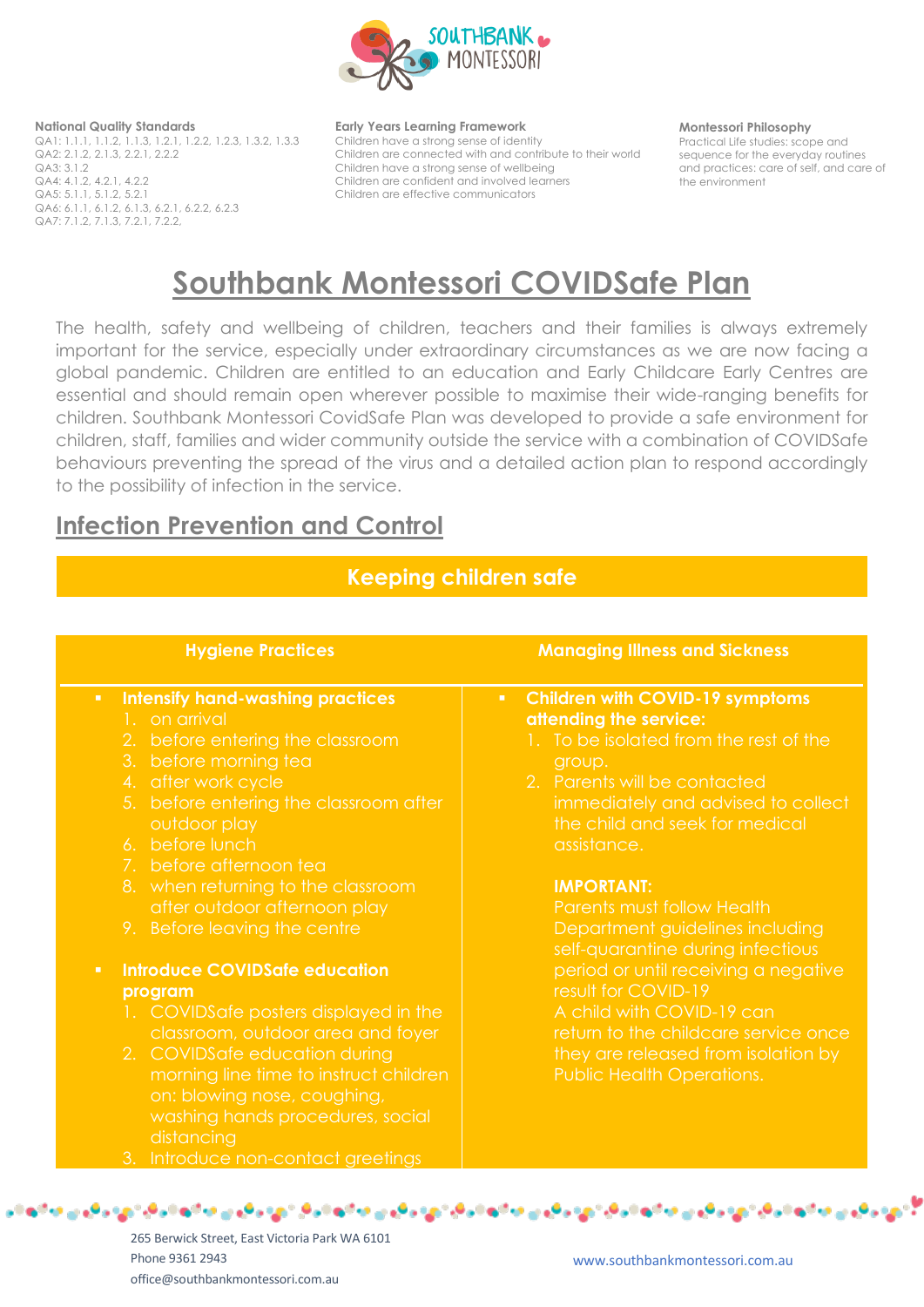

#### **National Quality Standards**

QA1: 1.1.1, 1.1.2, 1.1.3, 1.2.1, 1.2.2, 1.2.3, 1.3.2, 1.3.3 QA2: 2.1.2, 2.1.3, 2.2.1, 2.2.2  $QA3:3.1.2$ QA4: 4.1.2, 4.2.1, 4.2.2 QA5: 5.1.1, 5.1.2, 5.2.1 QA6: 6.1.1, 6.1.2, 6.1.3, 6.2.1, 6.2.2, 6.2.3 QA7: 7.1.2, 7.1.3, 7.2.1, 7.2.2,

#### **Early Years Learning Framework**

Children have a strong sense of identity Children are connected with and contribute to their world Children have a strong sense of wellbeing Children are confident and involved learners Children are effective communicators

#### **Montessori Philosophy**

Practical Life studies: scope and sequence for the everyday routines and practices: care of self, and care of the environment

# **Southbank Montessori COVIDSafe Plan**

The health, safety and wellbeing of children, teachers and their families is always extremely important for the service, especially under extraordinary circumstances as we are now facing a global pandemic. Children are entitled to an education and Early Childcare Early Centres are essential and should remain open wherever possible to maximise their wide-ranging benefits for children. Southbank Montessori CovidSafe Plan was developed to provide a safe environment for children, staff, families and wider community outside the service with a combination of COVIDSafe behaviours preventing the spread of the virus and a detailed action plan to respond accordingly to the possibility of infection in the service.

## **Infection Prevention and Control**

## **Keeping children safe**

| <b>Hygiene Practices</b>                                                                                                                                                                                                                                                                                                                                                                        | <b>Managing Illness and Sickness</b>                                                                                                                                                                 |
|-------------------------------------------------------------------------------------------------------------------------------------------------------------------------------------------------------------------------------------------------------------------------------------------------------------------------------------------------------------------------------------------------|------------------------------------------------------------------------------------------------------------------------------------------------------------------------------------------------------|
| <b>Intensify hand-washing practices</b>                                                                                                                                                                                                                                                                                                                                                         | <b>Children with COVID-19 symptoms</b>                                                                                                                                                               |
| $\mathbf{H}^{\prime}$                                                                                                                                                                                                                                                                                                                                                                           | $\mathbf{u}$ .                                                                                                                                                                                       |
| 1. on arrival                                                                                                                                                                                                                                                                                                                                                                                   | attending the service:                                                                                                                                                                               |
| 2. before entering the classroom                                                                                                                                                                                                                                                                                                                                                                | 1. To be isolated from the rest of the                                                                                                                                                               |
| 3. before morning tea                                                                                                                                                                                                                                                                                                                                                                           | group.                                                                                                                                                                                               |
| 4. after work cycle                                                                                                                                                                                                                                                                                                                                                                             | 2. Parents will be contacted                                                                                                                                                                         |
| 5. before entering the classroom after                                                                                                                                                                                                                                                                                                                                                          | immediately and advised to collect                                                                                                                                                                   |
| outdoor play                                                                                                                                                                                                                                                                                                                                                                                    | the child and seek for medical                                                                                                                                                                       |
| 6. before lunch                                                                                                                                                                                                                                                                                                                                                                                 | assistance.                                                                                                                                                                                          |
| 7. before afternoon tea                                                                                                                                                                                                                                                                                                                                                                         | <b>IMPORTANT:</b>                                                                                                                                                                                    |
| 8. when returning to the classroom                                                                                                                                                                                                                                                                                                                                                              | Parents must follow Health                                                                                                                                                                           |
| after outdoor afternoon play                                                                                                                                                                                                                                                                                                                                                                    | Department guidelines including                                                                                                                                                                      |
| 9. Before leaving the centre                                                                                                                                                                                                                                                                                                                                                                    | self-quarantine during infectious                                                                                                                                                                    |
| <b>Introduce COVIDSafe education</b><br>$\mathbf{u}$ .<br>program<br>1. COVIDS afe posters displayed in the<br>classroom, outdoor area and foyer<br>2. COVIDSafe education during<br>morning line time to instruct children<br>on: blowing nose, coughing,<br>washing hands procedures, social<br>distancing<br>the contract of the contract of the contract of the contract of the contract of | period or until receiving a negative<br>result for COVID-19<br>A child with COVID-19 can<br>return to the childcare service once<br>they are released from isolation by<br>Public Health Operations. |

7 کړې د کړنې مالیم شرکې کړې د کړنې مالیم شرکې کړې و. مالیم شرکې کړې د کړنې کالو شرکې کړې و. مالیم شرکې کړې د کړنې مال

265 Berwick Street, East Victoria Park WA 6101 Phone 9361 2943 office@southbankmontessori.com.au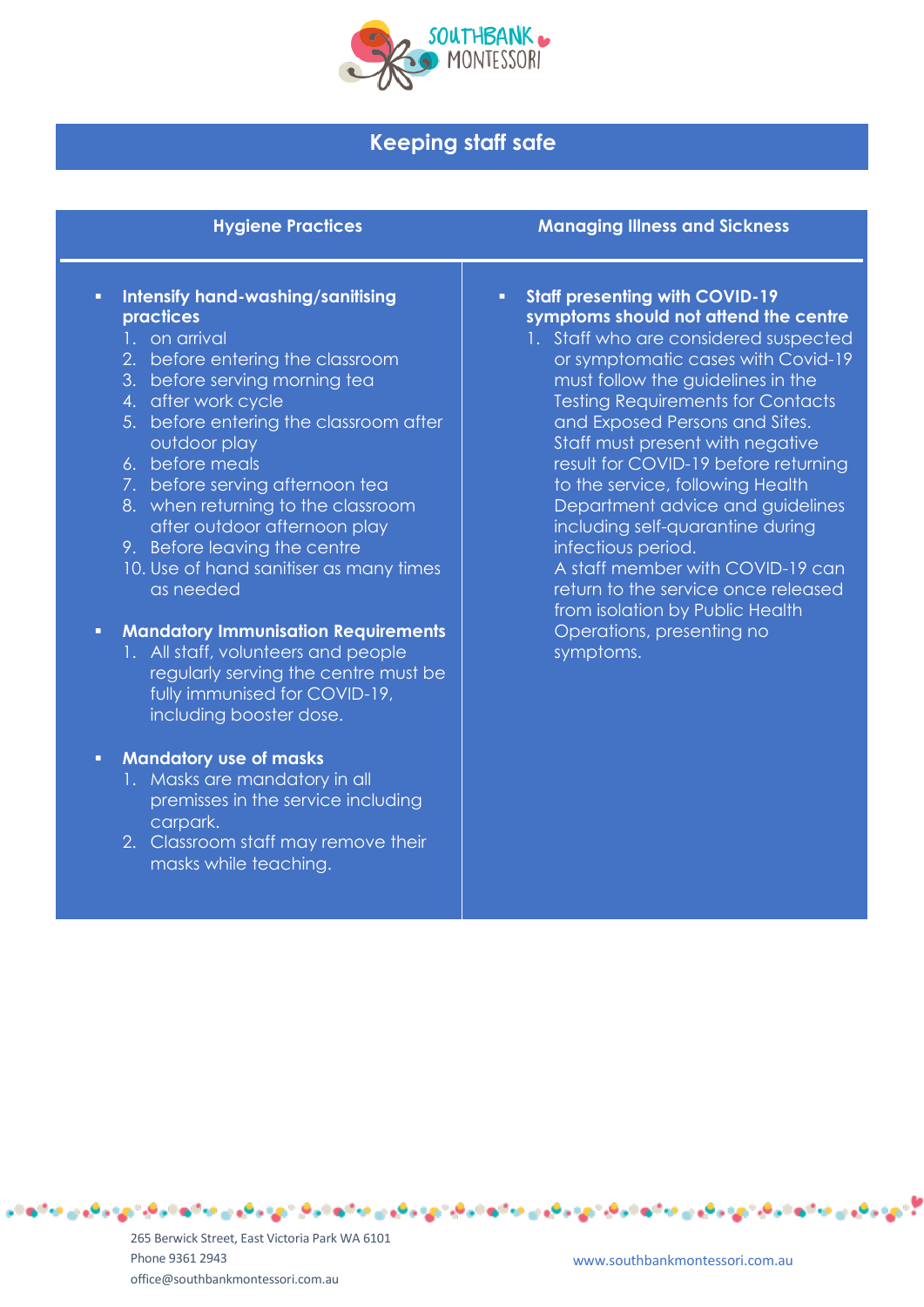

## **Keeping staff safe**

| <b>Hygiene Practices</b>                                                                                                                                                                                                                                                                                                                                                                                                                       | <b>Managing Illness and Sickness</b>                                                                                                                                                                                                                                                                                                                                                                                                                                                                                                                                                                              |
|------------------------------------------------------------------------------------------------------------------------------------------------------------------------------------------------------------------------------------------------------------------------------------------------------------------------------------------------------------------------------------------------------------------------------------------------|-------------------------------------------------------------------------------------------------------------------------------------------------------------------------------------------------------------------------------------------------------------------------------------------------------------------------------------------------------------------------------------------------------------------------------------------------------------------------------------------------------------------------------------------------------------------------------------------------------------------|
| Intensify hand-washing/sanitising<br>п<br>practices<br>1. on arrival<br>2. before entering the classroom<br>3. before serving morning tea<br>4. after work cycle<br>5. before entering the classroom after<br>outdoor play<br>6. before meals<br>7. before serving afternoon tea<br>8. when returning to the classroom<br>after outdoor afternoon play<br>9. Before leaving the centre<br>10. Use of hand sanitiser as many times<br>as needed | <b>Staff presenting with COVID-19</b><br>Ξ<br>symptoms should not attend the centre<br>1. Staff who are considered suspected<br>or symptomatic cases with Covid-19<br>must follow the guidelines in the<br><b>Testing Requirements for Contacts</b><br>and Exposed Persons and Sites.<br>Staff must present with negative<br>result for COVID-19 before returning<br>to the service, following Health<br>Department advice and guidelines<br>including self-quarantine during<br>infectious period.<br>A staff member with COVID-19 can<br>return to the service once released<br>from isolation by Public Health |
| <b>Mandatory Immunisation Requirements</b><br>Ξ<br>1. All staff, volunteers and people<br>regularly serving the centre must be<br>fully immunised for COVID-19,<br>including booster dose.                                                                                                                                                                                                                                                     | Operations, presenting no<br>symptoms.                                                                                                                                                                                                                                                                                                                                                                                                                                                                                                                                                                            |

<sup>مو</sup> جهت کے لیے مذکور دی کے لیے اس مذکور کے لیے میں مذکور دی دی ہے کہ لیے دی کر دی دی ہے مذکور دی دی دی ہے مذکور د

### ▪ **Mandatory use of masks**

- 1. Masks are mandatory in all premisses in the service including carpark.
- 2. Classroom staff may remove their masks while teaching.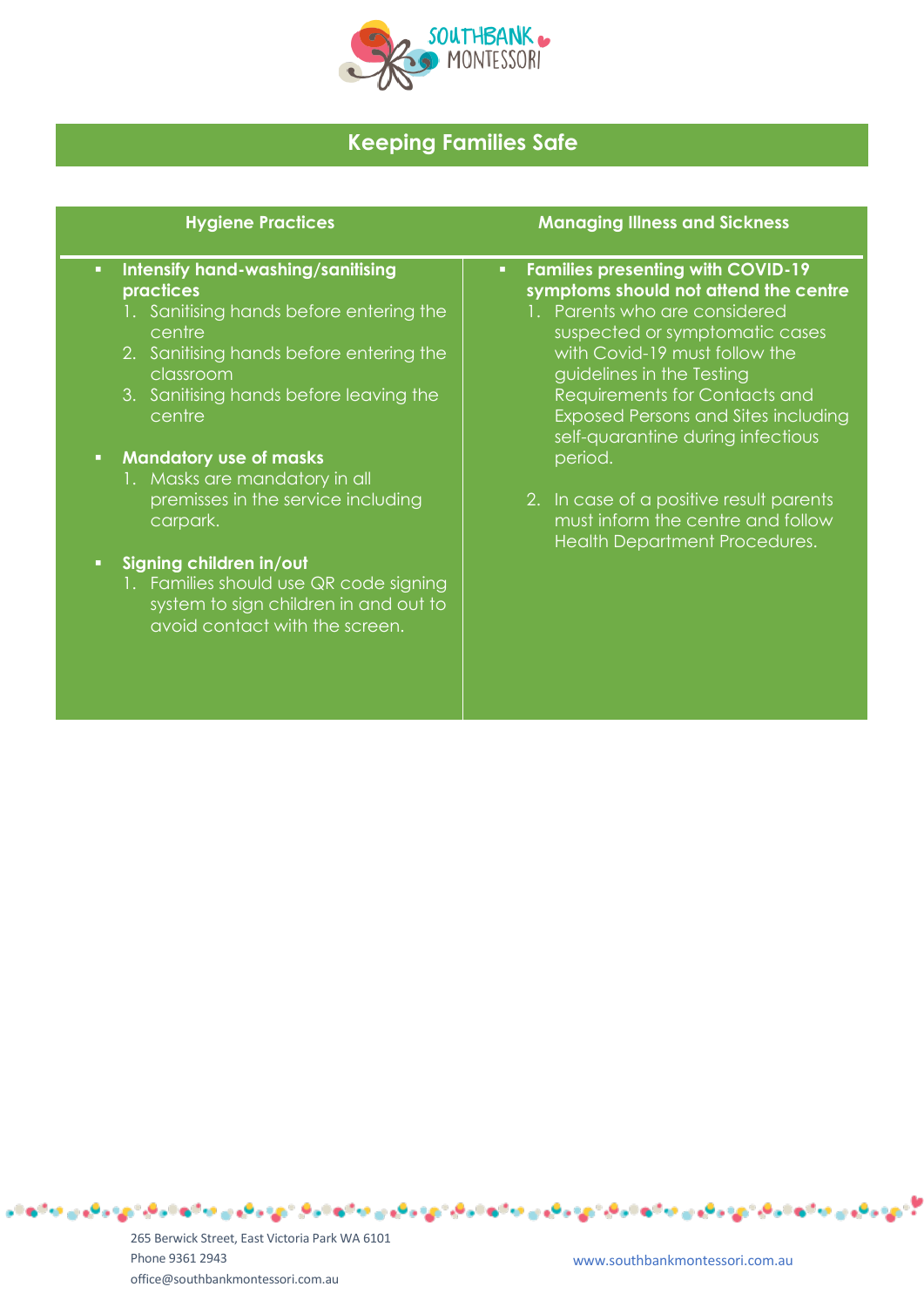

## **Keeping Families Safe**

## ▪ **Intensify hand-washing/sanitising practices**

- 1. Sanitising hands before entering the centre
- 2. Sanitising hands before entering the classroom
- 3. Sanitising hands before leaving the centre
- **Mandatory use of masks** 
	- 1. Masks are mandatory in all premisses in the service including carpark.

## Signing children in/out

1. Families should use QR code signing system to sign children in and out to avoid contact with the screen.

### **Hygiene Practices Managing Illness and Sickness**

## ▪ **Families presenting with COVID-19 symptoms should not attend the centre**

- 1. Parents who are considered suspected or symptomatic cases with Covid-19 must follow the guidelines in the Testing Requirements for Contacts and Exposed Persons and Sites including self-quarantine during infectious period.
- 2. In case of a positive result parents must inform the centre and follow Health Department Procedures.

265 Berwick Street, East Victoria Park WA 6101 Phone 9361 2943 office@southbankmontessori.com.au

ڻا جي رهين جائزه نيرهي جي رهين جائزه نيرهي جاي ۾ جائزه نيرهي جاي ۾ هين جائزه نيرهي جي رهين جائزه نيرهي جاي ۾ جي جائزه ن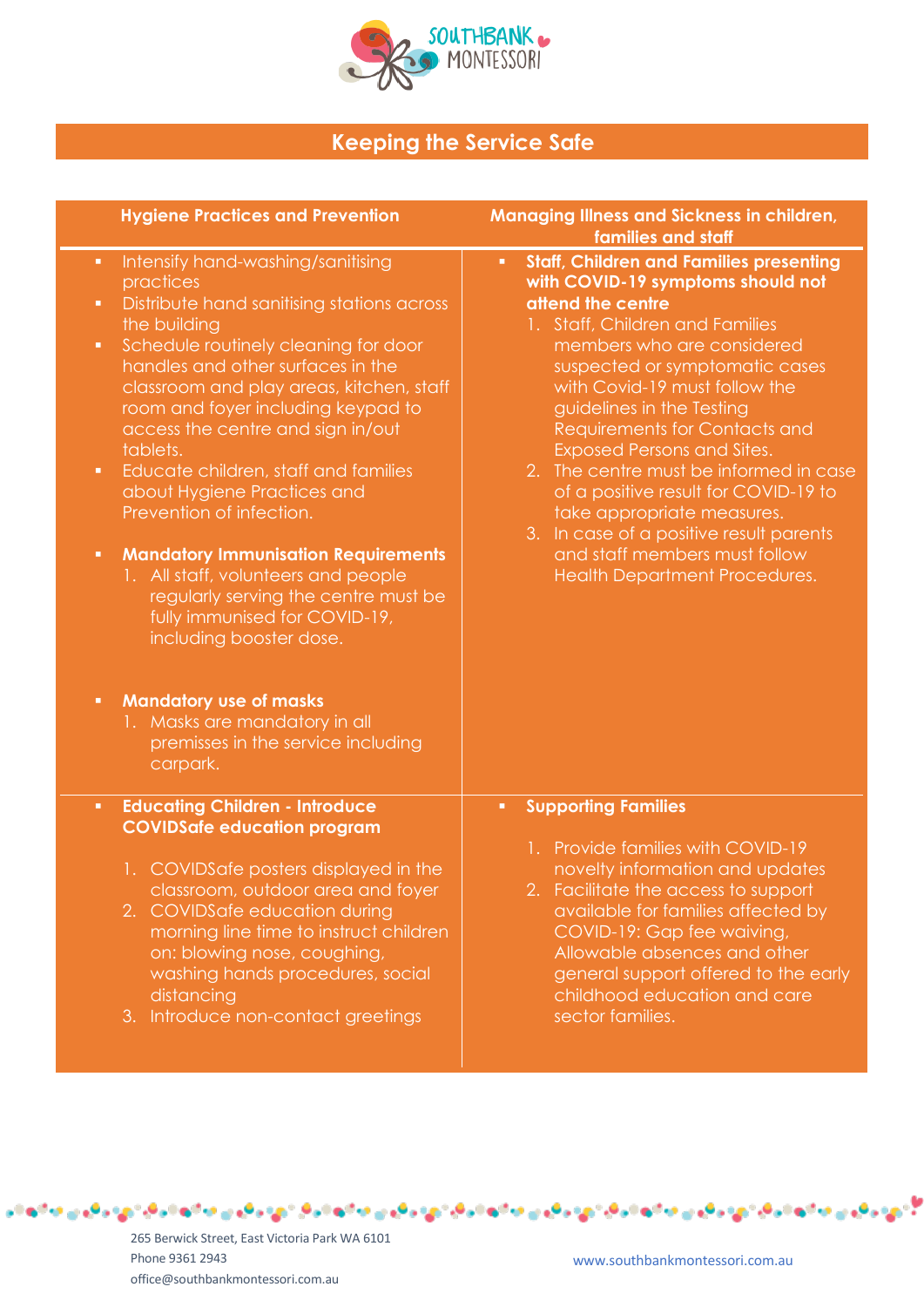

## **Keeping the Service Safe**

|                                                                                                          | <b>Hygiene Practices and Prevention</b>                                                                                                                                                                                                                                                                                                                                                                                                                                                                                                                                                                                                                                                                                                      | <b>Managing Illness and Sickness in children,</b><br>families and staff                                                                                                                                                                                                                                                                                                                                                                                                                                                                                                                                  |
|----------------------------------------------------------------------------------------------------------|----------------------------------------------------------------------------------------------------------------------------------------------------------------------------------------------------------------------------------------------------------------------------------------------------------------------------------------------------------------------------------------------------------------------------------------------------------------------------------------------------------------------------------------------------------------------------------------------------------------------------------------------------------------------------------------------------------------------------------------------|----------------------------------------------------------------------------------------------------------------------------------------------------------------------------------------------------------------------------------------------------------------------------------------------------------------------------------------------------------------------------------------------------------------------------------------------------------------------------------------------------------------------------------------------------------------------------------------------------------|
| $\blacksquare$<br>$\blacksquare$<br>$\blacksquare$<br>$\blacksquare$<br>$\blacksquare$<br>$\blacksquare$ | Intensify hand-washing/sanitising<br>practices<br>Distribute hand sanitising stations across<br>the building<br>Schedule routinely cleaning for door<br>handles and other surfaces in the<br>classroom and play areas, kitchen, staff<br>room and foyer including keypad to<br>access the centre and sign in/out<br>tablets.<br>Educate children, staff and families<br>about Hygiene Practices and<br>Prevention of infection.<br><b>Mandatory Immunisation Requirements</b><br>1. All staff, volunteers and people<br>regularly serving the centre must be<br>fully immunised for COVID-19,<br>including booster dose.<br><b>Mandatory use of masks</b><br>1. Masks are mandatory in all<br>premisses in the service including<br>carpark. | <b>Staff, Children and Families presenting</b><br>$\blacksquare$<br>with COVID-19 symptoms should not<br>attend the centre<br>1. Staff, Children and Families<br>members who are considered<br>suspected or symptomatic cases<br>with Covid-19 must follow the<br>guidelines in the Testing<br>Requirements for Contacts and<br><b>Exposed Persons and Sites.</b><br>The centre must be informed in case<br>2.<br>of a positive result for COVID-19 to<br>take appropriate measures.<br>3. In case of a positive result parents<br>and staff members must follow<br><b>Health Department Procedures.</b> |
| $\blacksquare$                                                                                           | <b>Educating Children - Introduce</b><br><b>COVIDSafe education program</b><br>1. COVIDS afe posters displayed in the<br>classroom, outdoor area and foyer<br>2. COVIDSafe education during<br>morning line time to instruct children<br>on: blowing nose, coughing,<br>washing hands procedures, social<br>distancing<br>3. Introduce non-contact greetings                                                                                                                                                                                                                                                                                                                                                                                 | <b>Supporting Families</b><br>$\blacksquare$<br>1. Provide families with COVID-19<br>novelty information and updates<br>2. Facilitate the access to support<br>available for families affected by<br>COVID-19: Gap fee waiving,<br>Allowable absences and other<br>general support offered to the early<br>childhood education and care<br>sector families.                                                                                                                                                                                                                                              |

للأمهر والهني مدائمه مواليان والمهني مدائمه موالياتهم والهندي متابع مواليد مدائمه موالي والهيدي مدائمه موالياتهم والهنبية مدائمهم

265 Berwick Street, East Victoria Park WA 6101 Phone 9361 2943 office@southbankmontessori.com.au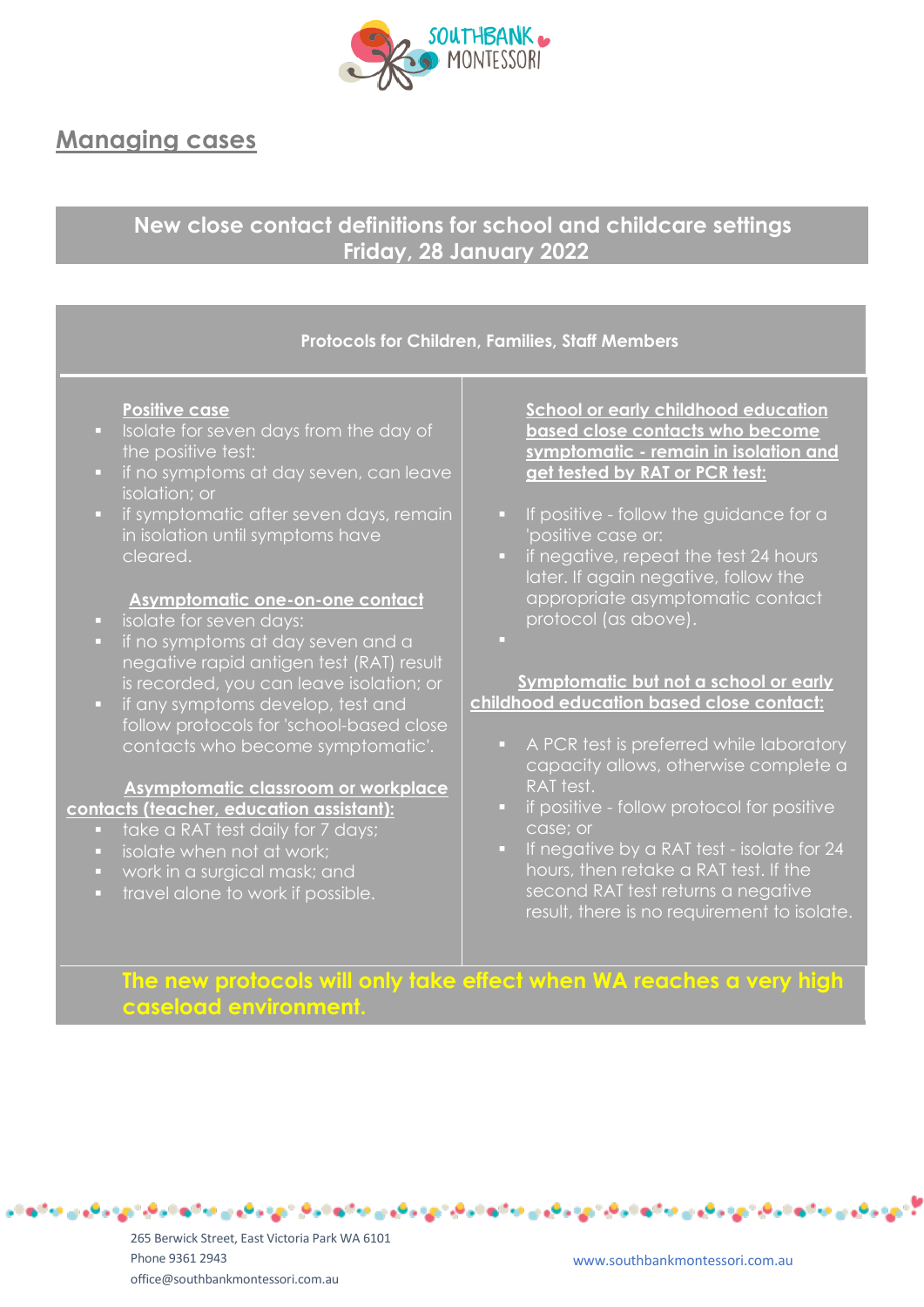

## **Managing cases**

## **New close contact definitions for school and childcare settings Friday, 28 January 2022**

## **Protocols for Children, Families, Staff Members**

### **Positive case**

- **•** Isolate for seven days from the day of the positive test:
- **·** if no symptoms at day seven, can leave isolation; or
- **•** if symptomatic after seven days, remain in isolation until symptoms have cleared.

### **Asymptomatic one-on-one contact**

- isolate for seven days:
- if no symptoms at day seven and a negative rapid antigen test (RAT) result is recorded, you can leave isolation; or
- **•** if any symptoms develop, test and follow protocols for 'school-based close contacts who become symptomatic'.

#### **Asymptomatic classroom or workplace contacts (teacher, education assistant):**

- 
- take a RAT test daily for 7 days;
- isolate when not at work;
- work in a surgical mask; and
- travel alone to work if possible.

**School or early childhood education based close contacts who become symptomatic - remain in isolation and get tested by RAT or PCR test:**

- **•** If positive follow the guidance for a 'positive case or:
- **•** if negative, repeat the test 24 hours later. If again negative, follow the appropriate asymptomatic contact protocol (as above).
- ▪

### **Symptomatic but not a school or early childhood education based close contact:**

- A PCR test is preferred while laboratory capacity allows, otherwise complete a RAT test.
- if positive follow protocol for positive case; or
- If negative by a RAT test isolate for 24 hours, then retake a RAT test. If the second RAT test returns a negative result, there is no requirement to isolate.

## **The new protocols will only take effect when WA reaches a very high caseload environment.**

جي جاي ۾ ماڻه نجان ٿي جاي ۾ ماڻهن ماڻهن جي جاي ۾ ماڻهن ماڻهن جي جاي ۾ ماڻهن جائي ٿي جاي ۾ ماڻهن ماڻهن جي جاي

265 Berwick Street, East Victoria Park WA 6101 Phone 9361 2943 office@southbankmontessori.com.au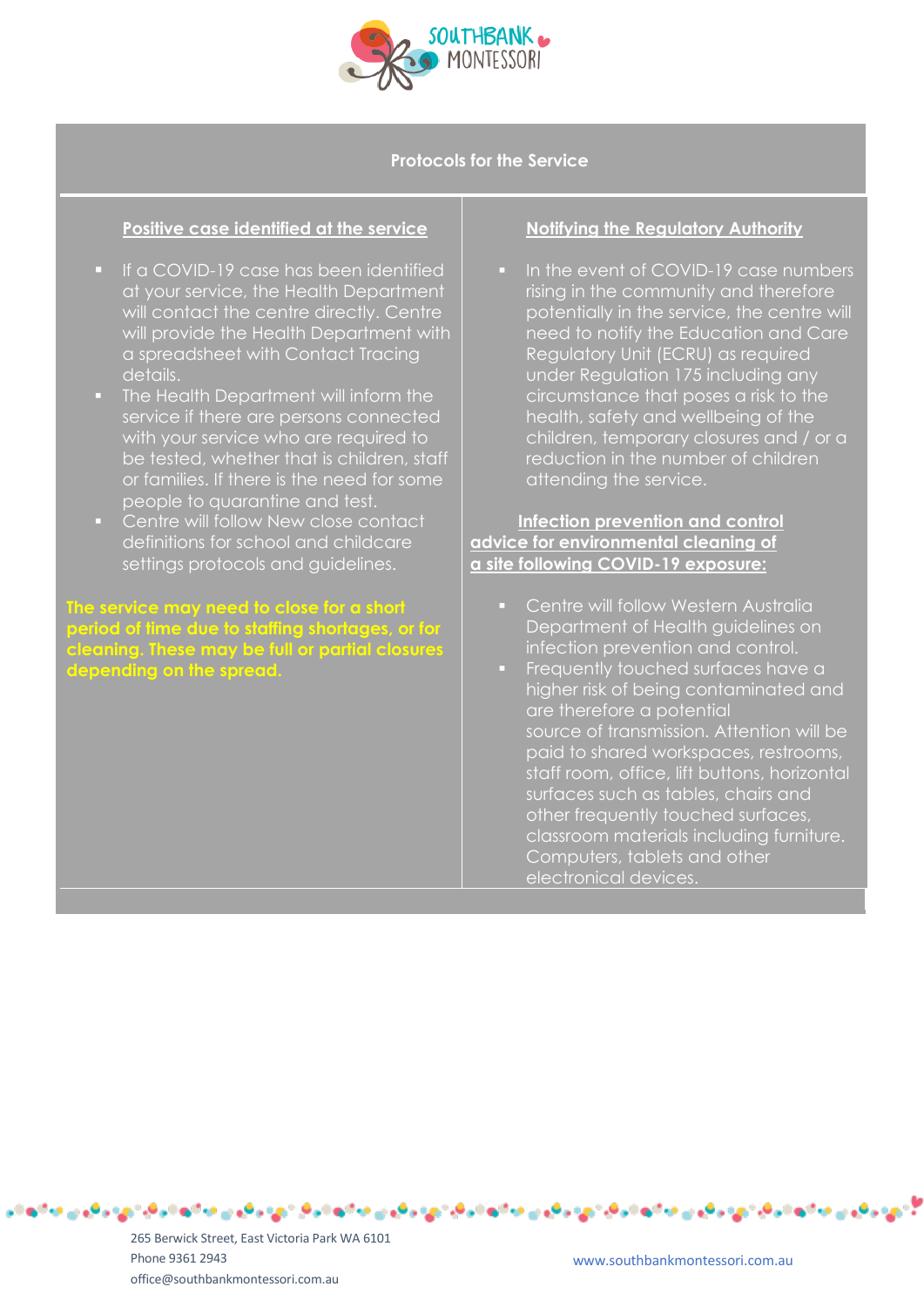

**Protocols for the Service**

## **Positive case identified at the service**

- If a COVID-19 case has been identified at your service, the Health Department will contact the centre directly. Centre will provide the Health Department with a spreadsheet with Contact Tracing details.
- **The Health Department will inform the** service if there are persons connected with your service who are required to be tested, whether that is children, staff or families. If there is the need for some people to quarantine and test.
- Centre will follow New close contact definitions for school and childcare settings protocols and guidelines.

## **The service may need to close for a short period of time due to staffing shortages, or for cleaning. These may be full or partial closures depending on the spread.**

## **Notifying the Regulatory Authority**

■ In the event of COVID-19 case numbers rising in the community and therefore potentially in the service, the centre will need to notify the Education and Care Regulatory Unit (ECRU) as required under Regulation 175 including any circumstance that poses a risk to the health, safety and wellbeing of the children, temporary closures and / or a reduction in the number of children attending the service.

## **Infection prevention and control advice for environmental cleaning of a site following COVID-19 exposure:**

- **Centre will follow Western Australia** Department of Health guidelines on infection prevention and control.
- **•** Frequently touched surfaces have a higher risk of being contaminated and are therefore a potential source of transmission. Attention will be paid to shared workspaces, restrooms, staff room, office, lift buttons, horizontal surfaces such as tables, chairs and other frequently touched surfaces, classroom materials including furniture. Computers, tablets and other electronical devices.

265 Berwick Street, East Victoria Park WA 6101 Phone 9361 2943 office@southbankmontessori.com.au

لدي جايجي بدائها تجاري جايجي بالهالجان بيدي جايجي بالهالجان دي جايجي بالهالجار دي جايجي بدائها تجار تي جايجي بدائها